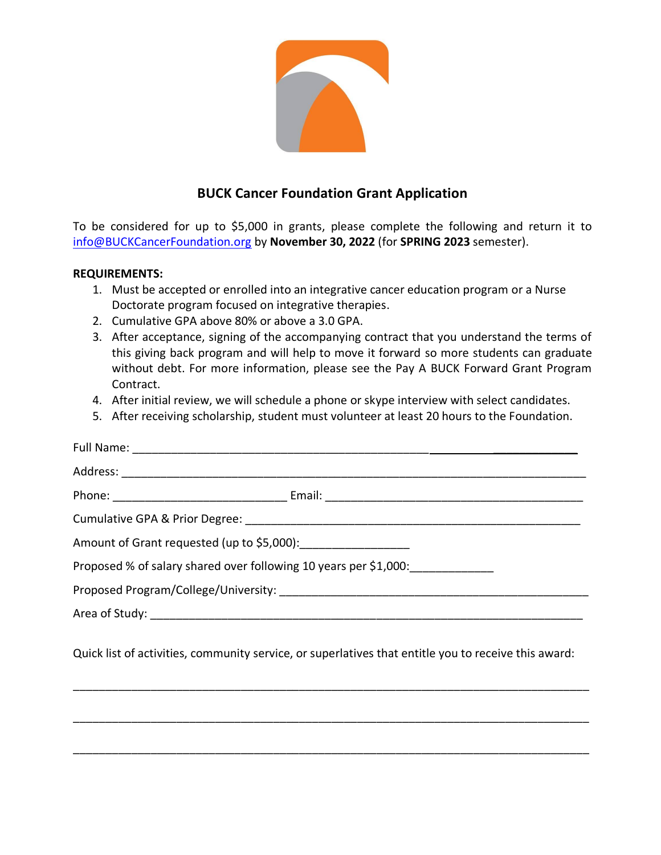

## **BUCK Cancer Foundation Grant Application**

To be considered for up to \$5,000 in grants, please complete the following and return it to [info@BUCKCancerFoundation.org](mailto:info@BUCKCancerFoundation.org) by **November 30, 2022** (for **SPRING 2023** semester).

## **REQUIREMENTS:**

- 1. Must be accepted or enrolled into an integrative cancer education program or a Nurse Doctorate program focused on integrative therapies.
- 2. Cumulative GPA above 80% or above a 3.0 GPA.
- 3. After acceptance, signing of the accompanying contract that you understand the terms of this giving back program and will help to move it forward so more students can graduate without debt. For more information, please see the Pay A BUCK Forward Grant Program Contract.
- 4. After initial review, we will schedule a phone or skype interview with select candidates.
- 5. After receiving scholarship, student must volunteer at least 20 hours to the Foundation.

| Proposed % of salary shared over following 10 years per \$1,000:________________                     |  |
|------------------------------------------------------------------------------------------------------|--|
|                                                                                                      |  |
|                                                                                                      |  |
| Quick list of activities, community service, or superlatives that entitle you to receive this award: |  |

\_\_\_\_\_\_\_\_\_\_\_\_\_\_\_\_\_\_\_\_\_\_\_\_\_\_\_\_\_\_\_\_\_\_\_\_\_\_\_\_\_\_\_\_\_\_\_\_\_\_\_\_\_\_\_\_\_\_\_\_\_\_\_\_\_\_\_\_\_\_\_\_\_\_\_\_\_\_\_\_

\_\_\_\_\_\_\_\_\_\_\_\_\_\_\_\_\_\_\_\_\_\_\_\_\_\_\_\_\_\_\_\_\_\_\_\_\_\_\_\_\_\_\_\_\_\_\_\_\_\_\_\_\_\_\_\_\_\_\_\_\_\_\_\_\_\_\_\_\_\_\_\_\_\_\_\_\_\_\_\_

\_\_\_\_\_\_\_\_\_\_\_\_\_\_\_\_\_\_\_\_\_\_\_\_\_\_\_\_\_\_\_\_\_\_\_\_\_\_\_\_\_\_\_\_\_\_\_\_\_\_\_\_\_\_\_\_\_\_\_\_\_\_\_\_\_\_\_\_\_\_\_\_\_\_\_\_\_\_\_\_